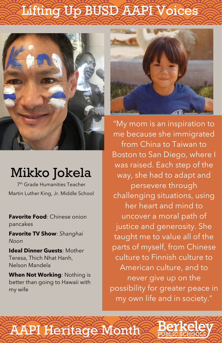**Favorite Food**: Chinese onion pancakes

**Favorite TV Show**: *Shanghai Noon*

**Ideal Dinner Guests**: Mother



Teresa, Thich Nhat Hanh, Nelson Mandela

### **When Not Working**: Nothing is

better than going to Hawaii with my wife

"My mom is an inspiration to me because she immigrated from China to Taiwan to Boston to San Diego, where I was raised. Each step of the way, she had to adapt and persevere through challenging situations, using her heart and mind to uncover a moral path of justice and generosity. She taught me to value all of the parts of myself, from Chinese culture to Finnish culture to American culture, and to never give up on the possibility for greater peace in my own life and in society."



## Lifting Up BUSD AAREVoices



### Mikko Jokela

7 th Grade Humanities Teacher Martin Luther King, Jr. Middle School